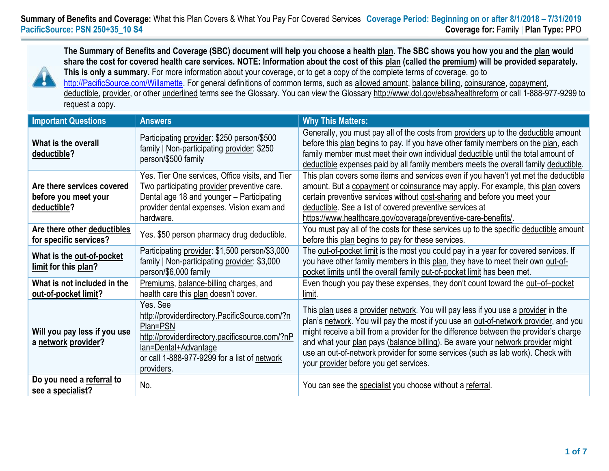

**The Summary of Benefits and Coverage (SBC) document will help you choose a health plan. The SBC shows you how you and the plan would share the cost for covered health care services. NOTE: Information about the cost of this plan (called the premium) will be provided separately. This is only a summary.** For more information about your coverage, or to get a copy of the complete terms of coverage, go to [http://PacificSource.com/Willamette.](http://pacificsource.com/Willamette) For general definitions of common terms, such as allowed amount, balance billing, coinsurance, copayment, deductible, provider, or other underlined terms see the Glossary. You can view the Glossar[y http://www.dol.gov/ebsa/healthreform](http://www.dol.gov/ebsa/healthreform) or call 1-888-977-9299 to request a copy.

| <b>Important Questions</b>                                        | <b>Answers</b>                                                                                                                                                                                                | <b>Why This Matters:</b>                                                                                                                                                                                                                                                                                                                                                                                                                                                           |  |  |
|-------------------------------------------------------------------|---------------------------------------------------------------------------------------------------------------------------------------------------------------------------------------------------------------|------------------------------------------------------------------------------------------------------------------------------------------------------------------------------------------------------------------------------------------------------------------------------------------------------------------------------------------------------------------------------------------------------------------------------------------------------------------------------------|--|--|
| What is the overall<br>deductible?                                | Participating provider: \$250 person/\$500<br>family   Non-participating provider: \$250<br>person/\$500 family                                                                                               | Generally, you must pay all of the costs from providers up to the deductible amount<br>before this plan begins to pay. If you have other family members on the plan, each<br>family member must meet their own individual deductible until the total amount of<br>deductible expenses paid by all family members meets the overall family deductible.                                                                                                                              |  |  |
| Are there services covered<br>before you meet your<br>deductible? | Yes. Tier One services, Office visits, and Tier<br>Two participating provider preventive care.<br>Dental age 18 and younger - Participating<br>provider dental expenses. Vision exam and<br>hardware.         | This plan covers some items and services even if you haven't yet met the deductible<br>amount. But a copayment or coinsurance may apply. For example, this plan covers<br>certain preventive services without cost-sharing and before you meet your<br>deductible. See a list of covered preventive services at<br>https://www.healthcare.gov/coverage/preventive-care-benefits/.                                                                                                  |  |  |
| Are there other deductibles<br>for specific services?             | Yes. \$50 person pharmacy drug deductible.                                                                                                                                                                    | You must pay all of the costs for these services up to the specific deductible amount<br>before this plan begins to pay for these services.                                                                                                                                                                                                                                                                                                                                        |  |  |
| What is the out-of-pocket<br>limit for this plan?                 | Participating provider: \$1,500 person/\$3,000<br>family   Non-participating provider: \$3,000<br>person/\$6,000 family                                                                                       | The out-of-pocket limit is the most you could pay in a year for covered services. If<br>you have other family members in this plan, they have to meet their own out-of-<br>pocket limits until the overall family out-of-pocket limit has been met.                                                                                                                                                                                                                                |  |  |
| What is not included in the<br>out-of-pocket limit?               | Premiums, balance-billing charges, and<br>health care this plan doesn't cover.                                                                                                                                | Even though you pay these expenses, they don't count toward the out-of-pocket<br>limit.                                                                                                                                                                                                                                                                                                                                                                                            |  |  |
| Will you pay less if you use<br>a network provider?               | Yes. See<br>http://providerdirectory.PacificSource.com/?n<br>Plan=PSN<br>http://providerdirectory.pacificsource.com/?nP<br>lan=Dental+Advantage<br>or call 1-888-977-9299 for a list of network<br>providers. | This plan uses a provider network. You will pay less if you use a provider in the<br>plan's network. You will pay the most if you use an out-of-network provider, and you<br>might receive a bill from a provider for the difference between the provider's charge<br>and what your plan pays (balance billing). Be aware your network provider might<br>use an out-of-network provider for some services (such as lab work). Check with<br>your provider before you get services. |  |  |
| Do you need a referral to<br>see a specialist?                    | No.                                                                                                                                                                                                           | You can see the specialist you choose without a referral.                                                                                                                                                                                                                                                                                                                                                                                                                          |  |  |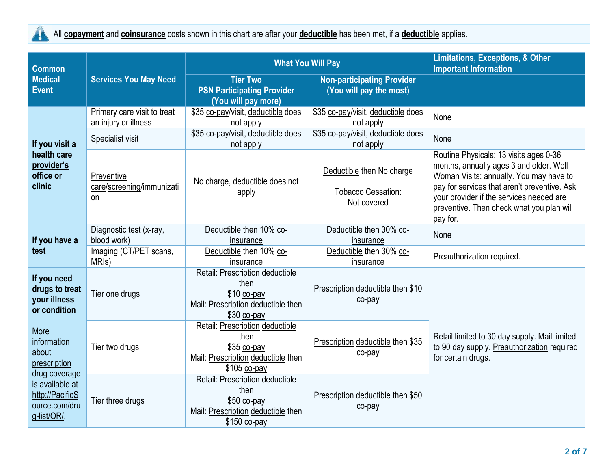

All **copayment** and **coinsurance** costs shown in this chart are after your **deductible** has been met, if a **deductible** applies.

| <b>Common</b>                                                                                                                       |                                                     | <b>What You Will Pay</b>                                                                                      | <b>Limitations, Exceptions, &amp; Other</b><br><b>Important Information</b> |                                                                                                                                                                                                                                                                                   |  |
|-------------------------------------------------------------------------------------------------------------------------------------|-----------------------------------------------------|---------------------------------------------------------------------------------------------------------------|-----------------------------------------------------------------------------|-----------------------------------------------------------------------------------------------------------------------------------------------------------------------------------------------------------------------------------------------------------------------------------|--|
| <b>Medical</b><br><b>Event</b>                                                                                                      | <b>Services You May Need</b>                        | <b>Tier Two</b><br><b>PSN Participating Provider</b><br>(You will pay more)                                   | <b>Non-participating Provider</b><br>(You will pay the most)                |                                                                                                                                                                                                                                                                                   |  |
|                                                                                                                                     | Primary care visit to treat<br>an injury or illness | \$35 co-pay/visit, deductible does<br>not apply                                                               | \$35 co-pay/visit, deductible does<br>not apply                             | None                                                                                                                                                                                                                                                                              |  |
| If you visit a                                                                                                                      | Specialist visit                                    | \$35 co-pay/visit, deductible does<br>not apply                                                               | \$35 co-pay/visit, deductible does<br>not apply                             | None                                                                                                                                                                                                                                                                              |  |
| health care<br>provider's<br>office or<br>clinic                                                                                    | Preventive<br>care/screening/immunizati<br>on       | No charge, deductible does not<br>apply                                                                       | Deductible then No charge<br><b>Tobacco Cessation:</b><br>Not covered       | Routine Physicals: 13 visits ages 0-36<br>months, annually ages 3 and older. Well<br>Woman Visits: annually. You may have to<br>pay for services that aren't preventive. Ask<br>your provider if the services needed are<br>preventive. Then check what you plan will<br>pay for. |  |
| If you have a<br>test                                                                                                               | Diagnostic test (x-ray,<br>blood work)              | Deductible then 10% co-<br>insurance                                                                          | Deductible then 30% co-<br>insurance                                        | None                                                                                                                                                                                                                                                                              |  |
|                                                                                                                                     | Imaging (CT/PET scans,<br>MRI <sub>s</sub> )        | Deductible then 10% co-<br>insurance                                                                          | Deductible then 30% co-<br>insurance                                        | Preauthorization required.                                                                                                                                                                                                                                                        |  |
| If you need<br>drugs to treat<br>your illness<br>or condition                                                                       | Tier one drugs                                      | Retail: Prescription deductible<br>then<br>\$10 co-pay<br>Mail: Prescription deductible then<br>$$30$ co-pay  | Prescription deductible then \$10<br>co-pay                                 |                                                                                                                                                                                                                                                                                   |  |
| More<br>information<br>about<br>prescription<br>drug coverage<br>is available at<br>http://PacificS<br>ource.com/dru<br>g-list/OR/. | Tier two drugs                                      | Retail: Prescription deductible<br>then<br>\$35 co-pay<br>Mail: Prescription deductible then<br>$$105$ co-pay | Prescription deductible then \$35<br>co-pay                                 | Retail limited to 30 day supply. Mail limited<br>to 90 day supply. Preauthorization required<br>for certain drugs.                                                                                                                                                                |  |
|                                                                                                                                     | Tier three drugs                                    | Retail: Prescription deductible<br>then<br>\$50 co-pay<br>Mail: Prescription deductible then<br>\$150 co-pay  | Prescription deductible then \$50<br>co-pay                                 |                                                                                                                                                                                                                                                                                   |  |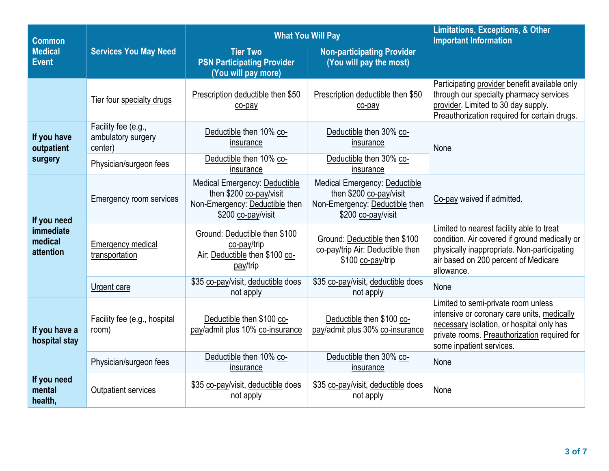| <b>Common</b>                                    | <b>Services You May Need</b>                         | <b>What You Will Pay</b>                                                                                         | <b>Limitations, Exceptions, &amp; Other</b><br><b>Important Information</b>                                      |                                                                                                                                                                                                             |  |
|--------------------------------------------------|------------------------------------------------------|------------------------------------------------------------------------------------------------------------------|------------------------------------------------------------------------------------------------------------------|-------------------------------------------------------------------------------------------------------------------------------------------------------------------------------------------------------------|--|
| <b>Medical</b><br><b>Event</b>                   |                                                      | <b>Tier Two</b><br><b>PSN Participating Provider</b><br>(You will pay more)                                      | <b>Non-participating Provider</b><br>(You will pay the most)                                                     |                                                                                                                                                                                                             |  |
|                                                  | Tier four specialty drugs                            | Prescription deductible then \$50<br>co-pay                                                                      | Prescription deductible then \$50<br>co-pay                                                                      | Participating provider benefit available only<br>through our specialty pharmacy services<br>provider. Limited to 30 day supply.<br>Preauthorization required for certain drugs.                             |  |
| If you have<br>outpatient                        | Facility fee (e.g.,<br>ambulatory surgery<br>center) | Deductible then 10% co-<br>insurance                                                                             | Deductible then 30% co-<br>insurance                                                                             | None                                                                                                                                                                                                        |  |
| surgery                                          | Physician/surgeon fees                               | Deductible then 10% co-<br>insurance                                                                             | Deductible then 30% co-<br>insurance                                                                             |                                                                                                                                                                                                             |  |
| If you need<br>immediate<br>medical<br>attention | Emergency room services                              | Medical Emergency: Deductible<br>then \$200 co-pay/visit<br>Non-Emergency: Deductible then<br>\$200 co-pay/visit | Medical Emergency: Deductible<br>then \$200 co-pay/visit<br>Non-Emergency: Deductible then<br>\$200 co-pay/visit | Co-pay waived if admitted.                                                                                                                                                                                  |  |
|                                                  | <b>Emergency medical</b><br>transportation           | Ground: Deductible then \$100<br>co-pay/trip<br>Air: Deductible then \$100 co-<br>pay/trip                       | Ground: Deductible then \$100<br>co-pay/trip Air: Deductible then<br>\$100 co-pay/trip                           | Limited to nearest facility able to treat<br>condition. Air covered if ground medically or<br>physically inappropriate. Non-participating<br>air based on 200 percent of Medicare<br>allowance.             |  |
|                                                  | Urgent care                                          | \$35 co-pay/visit, deductible does<br>not apply                                                                  | \$35 co-pay/visit, deductible does<br>not apply                                                                  | None                                                                                                                                                                                                        |  |
| If you have a<br>hospital stay                   | Facility fee (e.g., hospital<br>room)                | Deductible then \$100 co-<br>pay/admit plus 10% co-insurance                                                     | Deductible then \$100 co-<br>pay/admit plus 30% co-insurance                                                     | Limited to semi-private room unless<br>intensive or coronary care units, medically<br>necessary isolation, or hospital only has<br>private rooms. Preauthorization required for<br>some inpatient services. |  |
|                                                  | Physician/surgeon fees                               | Deductible then 10% co-<br>insurance                                                                             | Deductible then 30% co-<br>insurance                                                                             | None                                                                                                                                                                                                        |  |
| If you need<br>mental<br>health,                 | Outpatient services                                  | \$35 co-pay/visit, deductible does<br>not apply                                                                  | \$35 co-pay/visit, deductible does<br>not apply                                                                  | None                                                                                                                                                                                                        |  |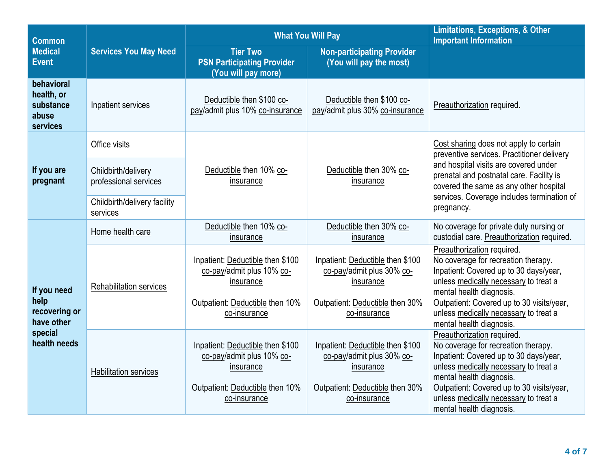| <b>Common</b>                                                                 |                                              | <b>What You Will Pay</b>                                                                                                      | <b>Limitations, Exceptions, &amp; Other</b><br><b>Important Information</b>                                                   |                                                                                                                                                                                                                                                                                                    |
|-------------------------------------------------------------------------------|----------------------------------------------|-------------------------------------------------------------------------------------------------------------------------------|-------------------------------------------------------------------------------------------------------------------------------|----------------------------------------------------------------------------------------------------------------------------------------------------------------------------------------------------------------------------------------------------------------------------------------------------|
| <b>Medical</b><br><b>Event</b>                                                | <b>Services You May Need</b>                 | <b>Tier Two</b><br><b>PSN Participating Provider</b><br>(You will pay more)                                                   | <b>Non-participating Provider</b><br>(You will pay the most)                                                                  |                                                                                                                                                                                                                                                                                                    |
| behavioral<br>health, or<br>substance<br>abuse<br>services                    | Inpatient services                           | Deductible then \$100 co-<br>pay/admit plus 10% co-insurance                                                                  | Deductible then \$100 co-<br>pay/admit plus 30% co-insurance                                                                  | Preauthorization required.                                                                                                                                                                                                                                                                         |
|                                                                               | Office visits                                |                                                                                                                               | Deductible then 30% co-<br>insurance                                                                                          | Cost sharing does not apply to certain<br>preventive services. Practitioner delivery                                                                                                                                                                                                               |
| If you are<br>pregnant                                                        | Childbirth/delivery<br>professional services | Deductible then 10% co-<br>insurance                                                                                          |                                                                                                                               | and hospital visits are covered under<br>prenatal and postnatal care. Facility is<br>covered the same as any other hospital                                                                                                                                                                        |
|                                                                               | Childbirth/delivery facility<br>services     |                                                                                                                               |                                                                                                                               | services. Coverage includes termination of<br>pregnancy.                                                                                                                                                                                                                                           |
| If you need<br>help<br>recovering or<br>have other<br>special<br>health needs | Home health care                             | Deductible then 10% co-<br>insurance                                                                                          | Deductible then 30% co-<br>insurance                                                                                          | No coverage for private duty nursing or<br>custodial care. Preauthorization required.                                                                                                                                                                                                              |
|                                                                               | Rehabilitation services                      | Inpatient: Deductible then \$100<br>co-pay/admit plus 10% co-<br>insurance<br>Outpatient: Deductible then 10%<br>co-insurance | Inpatient: Deductible then \$100<br>co-pay/admit plus 30% co-<br>insurance<br>Outpatient: Deductible then 30%<br>co-insurance | Preauthorization required.<br>No coverage for recreation therapy.<br>Inpatient: Covered up to 30 days/year,<br>unless medically necessary to treat a<br>mental health diagnosis.<br>Outpatient: Covered up to 30 visits/year,<br>unless medically necessary to treat a<br>mental health diagnosis. |
|                                                                               | <b>Habilitation services</b>                 | Inpatient: Deductible then \$100<br>co-pay/admit plus 10% co-<br>insurance<br>Outpatient: Deductible then 10%<br>co-insurance | Inpatient: Deductible then \$100<br>co-pay/admit plus 30% co-<br>insurance<br>Outpatient: Deductible then 30%<br>co-insurance | Preauthorization required.<br>No coverage for recreation therapy.<br>Inpatient: Covered up to 30 days/year,<br>unless medically necessary to treat a<br>mental health diagnosis.<br>Outpatient: Covered up to 30 visits/year,<br>unless medically necessary to treat a<br>mental health diagnosis. |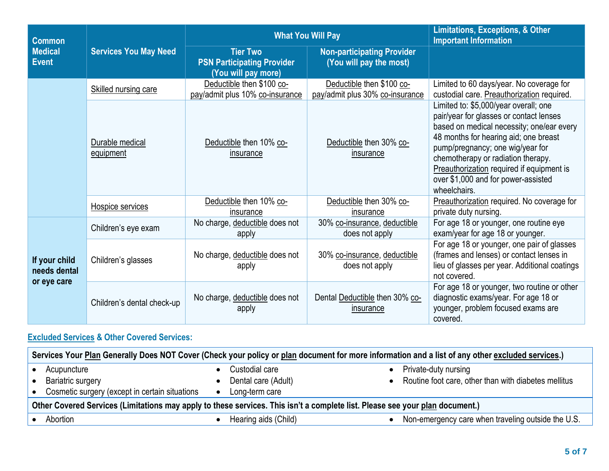| <b>Common</b>                                | <b>Services You May Need</b> | <b>What You Will Pay</b>                                                    | Limitations, Exceptions, & Other<br><b>Important Information</b> |                                                                                                                                                                                                                                                                                                                                                      |
|----------------------------------------------|------------------------------|-----------------------------------------------------------------------------|------------------------------------------------------------------|------------------------------------------------------------------------------------------------------------------------------------------------------------------------------------------------------------------------------------------------------------------------------------------------------------------------------------------------------|
| <b>Medical</b><br><b>Event</b>               |                              | <b>Tier Two</b><br><b>PSN Participating Provider</b><br>(You will pay more) | <b>Non-participating Provider</b><br>(You will pay the most)     |                                                                                                                                                                                                                                                                                                                                                      |
|                                              | Skilled nursing care         | Deductible then \$100 co-<br>pay/admit plus 10% co-insurance                | Deductible then \$100 co-<br>pay/admit plus 30% co-insurance     | Limited to 60 days/year. No coverage for<br>custodial care. Preauthorization required.                                                                                                                                                                                                                                                               |
|                                              | Durable medical<br>equipment | Deductible then 10% co-<br>insurance                                        | Deductible then 30% co-<br>insurance                             | Limited to: \$5,000/year overall; one<br>pair/year for glasses or contact lenses<br>based on medical necessity; one/ear every<br>48 months for hearing aid; one breast<br>pump/pregnancy; one wig/year for<br>chemotherapy or radiation therapy.<br>Preauthorization required if equipment is<br>over \$1,000 and for power-assisted<br>wheelchairs. |
|                                              | Hospice services             | Deductible then 10% co-<br>insurance                                        | Deductible then 30% co-<br>insurance                             | Preauthorization required. No coverage for<br>private duty nursing.                                                                                                                                                                                                                                                                                  |
| If your child<br>needs dental<br>or eye care | Children's eye exam          | No charge, deductible does not<br>apply                                     | 30% co-insurance, deductible<br>does not apply                   | For age 18 or younger, one routine eye<br>exam/year for age 18 or younger.                                                                                                                                                                                                                                                                           |
|                                              | Children's glasses           | No charge, deductible does not<br>apply                                     | 30% co-insurance, deductible<br>does not apply                   | For age 18 or younger, one pair of glasses<br>(frames and lenses) or contact lenses in<br>lieu of glasses per year. Additional coatings<br>not covered.                                                                                                                                                                                              |
|                                              | Children's dental check-up   | No charge, deductible does not<br>apply                                     | Dental Deductible then 30% co-<br><b>Insurance</b>               | For age 18 or younger, two routine or other<br>diagnostic exams/year. For age 18 or<br>younger, problem focused exams are<br>covered.                                                                                                                                                                                                                |

## **Excluded Services & Other Covered Services:**

| Services Your Plan Generally Does NOT Cover (Check your policy or plan document for more information and a list of any other excluded services.) |                      |                                                      |  |  |  |
|--------------------------------------------------------------------------------------------------------------------------------------------------|----------------------|------------------------------------------------------|--|--|--|
| Acupuncture                                                                                                                                      | Custodial care       | Private-duty nursing                                 |  |  |  |
| Bariatric surgery                                                                                                                                | Dental care (Adult)  | Routine foot care, other than with diabetes mellitus |  |  |  |
| Cosmetic surgery (except in certain situations                                                                                                   | Long-term care       |                                                      |  |  |  |
| Other Covered Services (Limitations may apply to these services. This isn't a complete list. Please see your plan document.)                     |                      |                                                      |  |  |  |
| Abortion                                                                                                                                         | Hearing aids (Child) | Non-emergency care when traveling outside the U.S.   |  |  |  |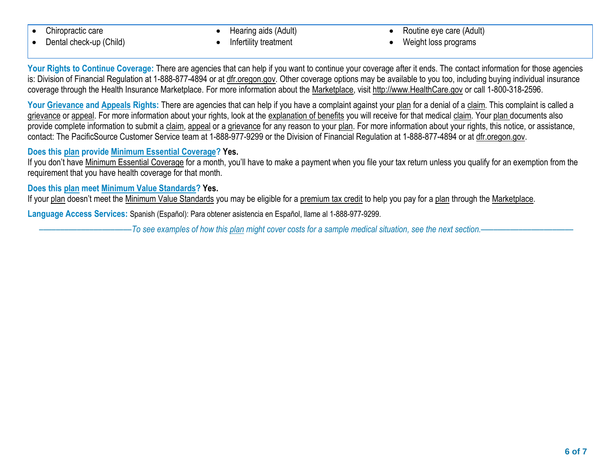- Chiropractic care
- Dental check-up (Child)

 Hearing aids (Adult) Infertility treatment

- Routine eye care (Adult)
- Weight loss programs

Your Rights to Continue Coverage: There are agencies that can help if you want to continue your coverage after it ends. The contact information for those agencies is: Division of Financial Regulation at 1-888-877-4894 or a[t dfr.oregon.gov.](http://dfr.oregon.gov/) Other coverage options may be available to you too, including buying individual insurance coverage through the Health Insurance Marketplace. For more information about the Marketplace, visit [http://www.HealthCare.gov](http://www.healthcare.gov/) or call 1-800-318-2596.

Your Grievance and Appeals Rights: There are agencies that can help if you have a complaint against your plan for a denial of a claim. This complaint is called a grievance or appeal. For more information about your rights, look at the explanation of benefits you will receive for that medical claim. Your plan documents also provide complete information to submit a claim, appeal or a grievance for any reason to your plan. For more information about your rights, this notice, or assistance, contact: The PacificSource Customer Service team at 1-888-977-9299 or the Division of Financial Regulation at 1-888-877-4894 or at [dfr.oregon.gov.](http://dfr.oregon.gov/)

## **Does this plan provide Minimum Essential Coverage? Yes.**

If you don't have Minimum Essential Coverage for a month, you'll have to make a payment when you file your tax return unless you qualify for an exemption from the requirement that you have health coverage for that month.

## **Does this plan meet Minimum Value Standards? Yes.**

If your plan doesn't meet the Minimum Value Standards you may be eligible for a premium tax credit to help you pay for a plan through the Marketplace.

**Language Access Services:** Spanish (Español): Para obtener asistencia en Español, llame al 1-888-977-9299.

––––––––––––––––––––––*To see examples of how this plan might cover costs for a sample medical situation, see the next section.–––––––––––*–––––––––––